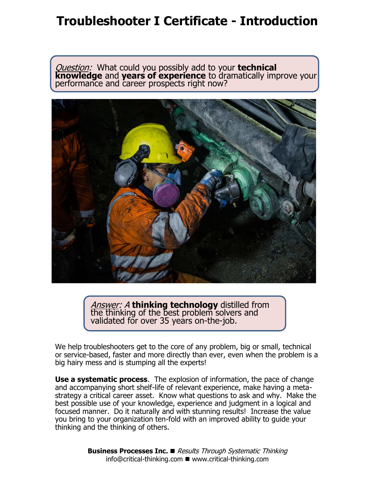## **Troubleshooter I Certificate - Introduction**

Question: What could you possibly add to your **technical knowledge** and **years of experience** to dramatically improve your performance and career prospects right now?



Answer: A **thinking technology** distilled from the thinking of the best problem solvers and validated for over 35 years on-the-job.

We help troubleshooters get to the core of any problem, big or small, technical or service-based, faster and more directly than ever, even when the problem is a big hairy mess and is stumping all the experts!

**Use a systematic process**. The explosion of information, the pace of change and accompanying short shelf-life of relevant experience, make having a metastrategy a critical career asset. Know what questions to ask and why. Make the best possible use of your knowledge, experience and judgment in a logical and focused manner. Do it naturally and with stunning results! Increase the value you bring to your organization ten-fold with an improved ability to guide your thinking and the thinking of others.